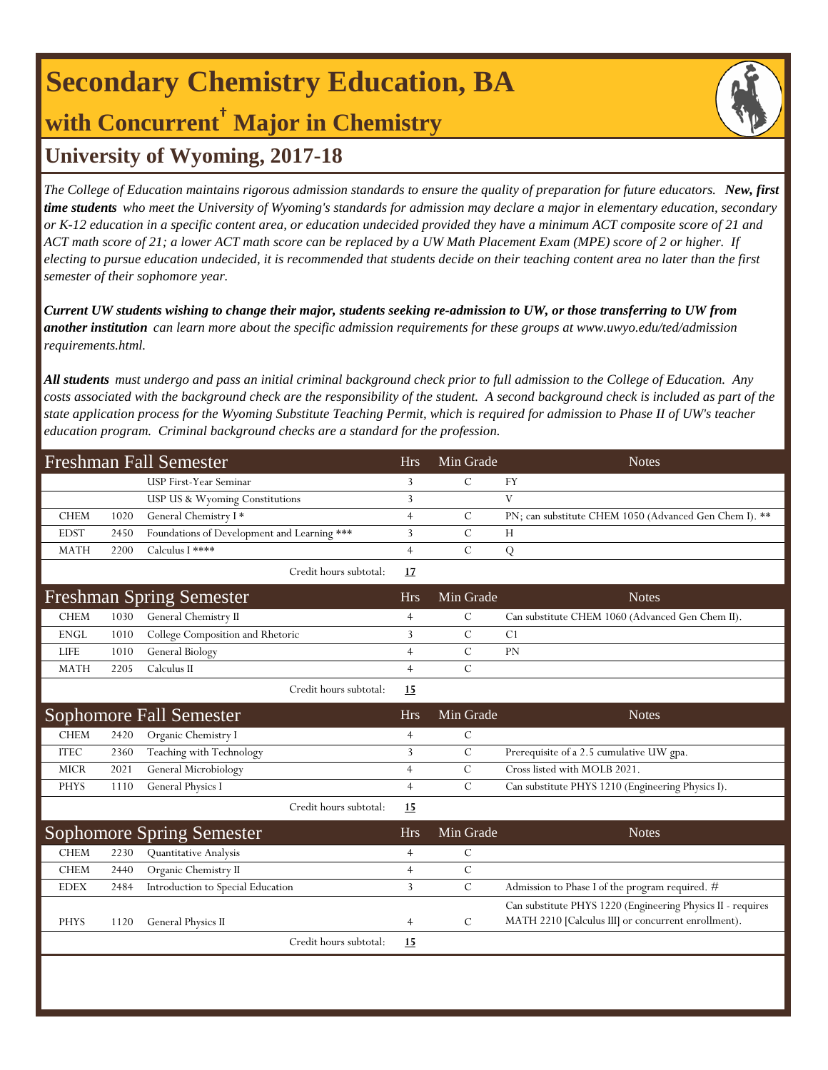# **Secondary Chemistry Education, BA with Concurrent† Major in Chemistry**



*The College of Education maintains rigorous admission standards to ensure the quality of preparation for future educators. New, first time students who meet the University of Wyoming's standards for admission may declare a major in elementary education, secondary or K-12 education in a specific content area, or education undecided provided they have a minimum ACT composite score of 21 and ACT math score of 21; a lower ACT math score can be replaced by a UW Math Placement Exam (MPE) score of 2 or higher. If electing to pursue education undecided, it is recommended that students decide on their teaching content area no later than the first semester of their sophomore year.*

*Current UW students wishing to change their major, students seeking re-admission to UW, or those transferring to UW from another institution can learn more about the specific admission requirements for these groups at www.uwyo.edu/ted/admission requirements.html.* 

*All students must undergo and pass an initial criminal background check prior to full admission to the College of Education. Any costs associated with the background check are the responsibility of the student. A second background check is included as part of the state application process for the Wyoming Substitute Teaching Permit, which is required for admission to Phase II of UW's teacher education program. Criminal background checks are a standard for the profession.*

|             |      | <b>Freshman Fall Semester</b>               | <b>Hrs</b>     | Min Grade      | <b>Notes</b>                                                |
|-------------|------|---------------------------------------------|----------------|----------------|-------------------------------------------------------------|
|             |      | <b>USP First-Year Seminar</b>               | 3              | $\mathcal{C}$  | <b>FY</b>                                                   |
|             |      | USP US & Wyoming Constitutions              | 3              |                | $\mathbf{V}$                                                |
| <b>CHEM</b> | 1020 | General Chemistry I*                        | $\overline{4}$ | $\mathcal{C}$  | PN; can substitute CHEM 1050 (Advanced Gen Chem I). **      |
| <b>EDST</b> | 2450 | Foundations of Development and Learning *** | 3              | $\overline{C}$ | H                                                           |
| <b>MATH</b> | 2200 | Calculus I ****                             | $\overline{4}$ | $\mathcal{C}$  | Q                                                           |
|             |      | Credit hours subtotal:                      | 17             |                |                                                             |
|             |      | <b>Freshman Spring Semester</b>             | <b>Hrs</b>     | Min Grade      | <b>Notes</b>                                                |
| <b>CHEM</b> | 1030 | General Chemistry II                        | $\overline{4}$ | C              | Can substitute CHEM 1060 (Advanced Gen Chem II).            |
| <b>ENGL</b> | 1010 | College Composition and Rhetoric            | 3              | $\overline{C}$ | C1                                                          |
| <b>LIFE</b> | 1010 | <b>General Biology</b>                      | $\overline{4}$ | $\mathcal{C}$  | <b>PN</b>                                                   |
| <b>MATH</b> | 2205 | Calculus II                                 | $\overline{4}$ | $\mathcal{C}$  |                                                             |
|             |      | Credit hours subtotal:                      | 15             |                |                                                             |
|             |      | Sophomore Fall Semester                     | <b>Hrs</b>     | Min Grade      | <b>Notes</b>                                                |
| <b>CHEM</b> | 2420 | Organic Chemistry I                         | $\overline{4}$ | $\mathcal{C}$  |                                                             |
| <b>ITEC</b> | 2360 | Teaching with Technology                    | 3              | $\mathcal{C}$  | Prerequisite of a 2.5 cumulative UW gpa.                    |
| <b>MICR</b> | 2021 | General Microbiology                        | $\overline{4}$ | $\mathcal{C}$  | Cross listed with MOLB 2021.                                |
| <b>PHYS</b> | 1110 | General Physics I                           | $\overline{4}$ | $\mathcal{C}$  | Can substitute PHYS 1210 (Engineering Physics I).           |
|             |      | Credit hours subtotal:                      | 15             |                |                                                             |
|             |      | <b>Sophomore Spring Semester</b>            | <b>Hrs</b>     | Min Grade      | <b>Notes</b>                                                |
| <b>CHEM</b> | 2230 | Quantitative Analysis                       | $\overline{4}$ | $\mathcal{C}$  |                                                             |
| <b>CHEM</b> | 2440 | Organic Chemistry II                        | $\overline{4}$ | $\overline{C}$ |                                                             |
| <b>EDEX</b> | 2484 | Introduction to Special Education           | 3              | C              | Admission to Phase I of the program required. #             |
|             |      |                                             |                |                | Can substitute PHYS 1220 (Engineering Physics II - requires |
| <b>PHYS</b> | 1120 | General Physics II                          | $\overline{4}$ | $\mathcal{C}$  | MATH 2210 [Calculus III] or concurrent enrollment).         |
|             |      | Credit hours subtotal:                      | <u>15</u>      |                |                                                             |
|             |      |                                             |                |                |                                                             |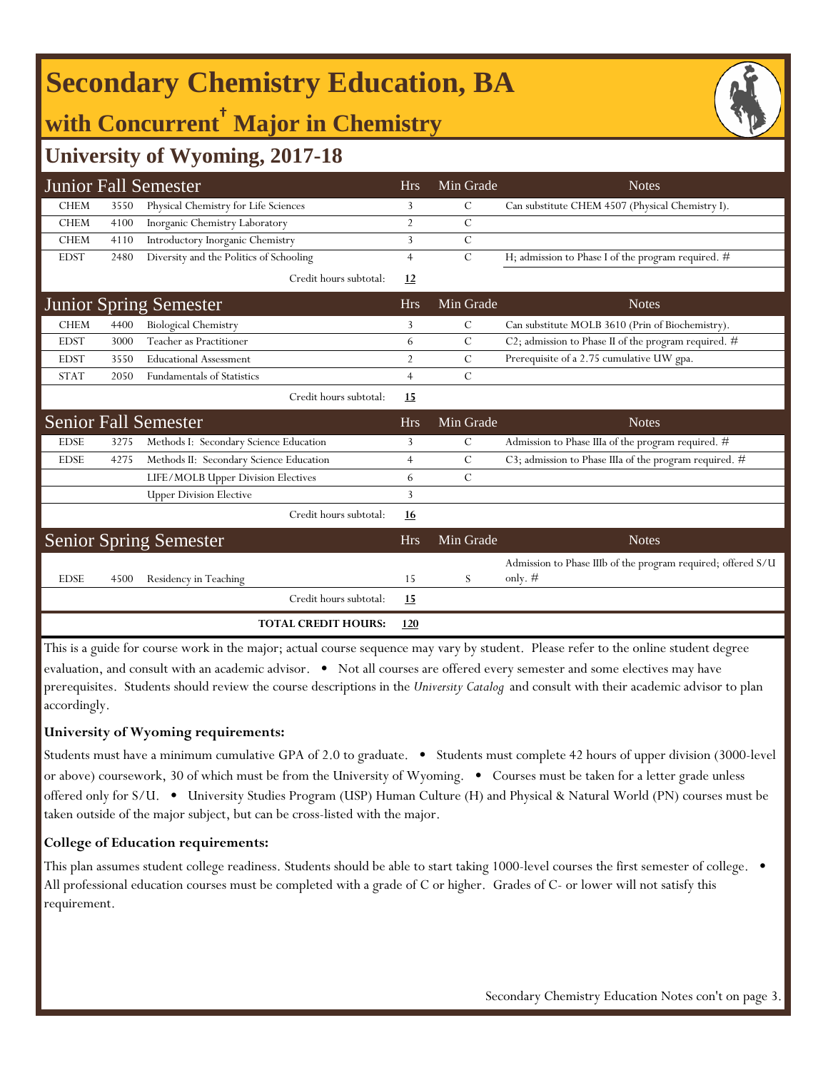# **Secondary Chemistry Education, BA**

## **with Concurrent† Major in Chemistry**

### **University of Wyoming, 2017-18**

|             |      | <b>Junior Fall Semester</b>             | <b>Hrs</b>     | Min Grade     | <b>Notes</b>                                                              |
|-------------|------|-----------------------------------------|----------------|---------------|---------------------------------------------------------------------------|
| <b>CHEM</b> | 3550 | Physical Chemistry for Life Sciences    | 3              | $\mathcal{C}$ | Can substitute CHEM 4507 (Physical Chemistry I).                          |
| <b>CHEM</b> | 4100 | Inorganic Chemistry Laboratory          | $\overline{2}$ | $\mathcal{C}$ |                                                                           |
| <b>CHEM</b> | 4110 | Introductory Inorganic Chemistry        | 3              | $\mathbf C$   |                                                                           |
| <b>EDST</b> | 2480 | Diversity and the Politics of Schooling | $\overline{4}$ | $\mathcal{C}$ | H; admission to Phase I of the program required. #                        |
|             |      | Credit hours subtotal:                  | 12             |               |                                                                           |
|             |      | <b>Junior Spring Semester</b>           | <b>Hrs</b>     | Min Grade     | <b>Notes</b>                                                              |
| <b>CHEM</b> | 4400 | <b>Biological Chemistry</b>             | 3              | $\mathcal{C}$ | Can substitute MOLB 3610 (Prin of Biochemistry).                          |
| <b>EDST</b> | 3000 | Teacher as Practitioner                 | 6              | $\mathcal{C}$ | C2; admission to Phase II of the program required. #                      |
| <b>EDST</b> | 3550 | <b>Educational Assessment</b>           | $\overline{2}$ | $\mathcal{C}$ | Prerequisite of a 2.75 cumulative UW gpa.                                 |
| <b>STAT</b> | 2050 | <b>Fundamentals of Statistics</b>       | $\overline{4}$ | $\mathcal{C}$ |                                                                           |
|             |      | Credit hours subtotal:                  | 15             |               |                                                                           |
|             |      |                                         |                |               |                                                                           |
|             |      | <b>Senior Fall Semester</b>             | <b>Hrs</b>     | Min Grade     | <b>Notes</b>                                                              |
| <b>EDSE</b> | 3275 | Methods I: Secondary Science Education  | 3              | $\mathcal{C}$ | Admission to Phase IIIa of the program required. #                        |
| <b>EDSE</b> | 4275 | Methods II: Secondary Science Education | $\overline{4}$ | $\mathcal{C}$ | C3; admission to Phase IIIa of the program required. #                    |
|             |      | LIFE/MOLB Upper Division Electives      | 6              | $\mathcal{C}$ |                                                                           |
|             |      | <b>Upper Division Elective</b>          | 3              |               |                                                                           |
|             |      | Credit hours subtotal:                  | 16             |               |                                                                           |
|             |      | <b>Senior Spring Semester</b>           | <b>Hrs</b>     | Min Grade     | <b>Notes</b>                                                              |
| <b>EDSE</b> | 4500 | Residency in Teaching                   | 15             | S             | Admission to Phase IIIb of the program required; offered S/U<br>only. $#$ |
|             |      | Credit hours subtotal:                  | <u>15</u>      |               |                                                                           |

This is a guide for course work in the major; actual course sequence may vary by student. Please refer to the online student degree evaluation, and consult with an academic advisor. • Not all courses are offered every semester and some electives may have prerequisites. Students should review the course descriptions in the *University Catalog* and consult with their academic advisor to plan accordingly.

#### **University of Wyoming requirements:**

Students must have a minimum cumulative GPA of 2.0 to graduate. • Students must complete 42 hours of upper division (3000-level or above) coursework, 30 of which must be from the University of Wyoming. • Courses must be taken for a letter grade unless offered only for S/U. • University Studies Program (USP) Human Culture (H) and Physical & Natural World (PN) courses must be taken outside of the major subject, but can be cross-listed with the major.

#### **College of Education requirements:**

This plan assumes student college readiness. Students should be able to start taking 1000-level courses the first semester of college. All professional education courses must be completed with a grade of C or higher. Grades of C- or lower will not satisfy this requirement.